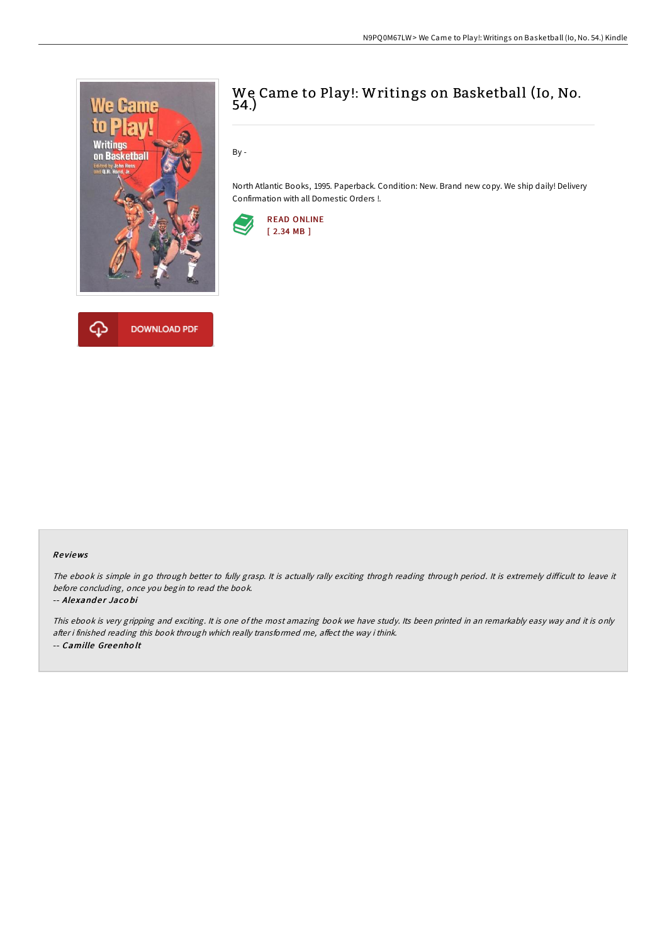



# We Came to Play!: Writings on Basketball (Io, No. 54.)

By -

North Atlantic Books, 1995. Paperback. Condition: New. Brand new copy. We ship daily! Delivery Confirmation with all Domestic Orders !.



### Re views

The ebook is simple in go through better to fully grasp. It is actually rally exciting throgh reading through period. It is extremely difficult to leave it before concluding, once you begin to read the book.

#### -- Alexander Jacobi

This ebook is very gripping and exciting. It is one of the most amazing book we have study. Its been printed in an remarkably easy way and it is only after i finished reading this book through which really transformed me, affect the way i think. -- Camille Gre enho lt